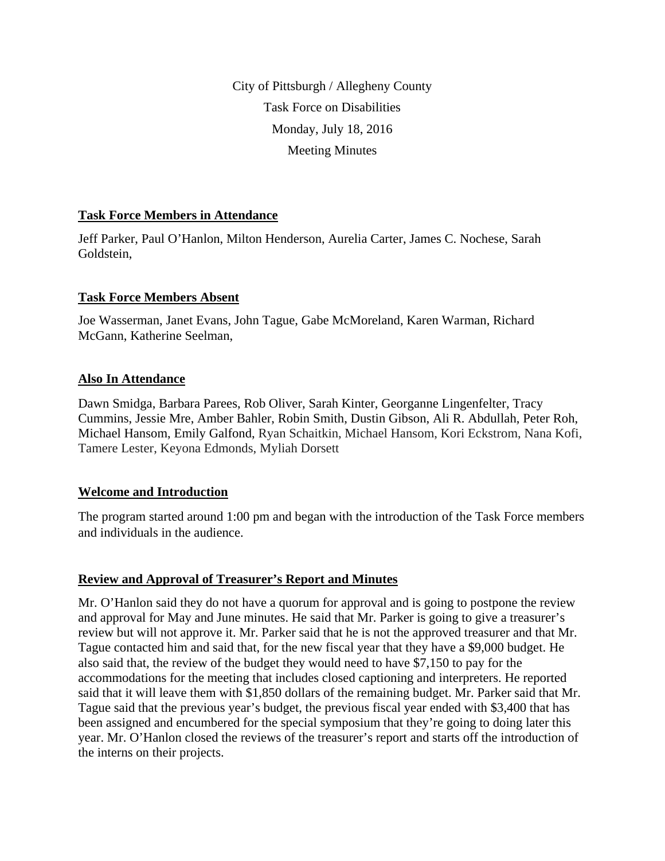City of Pittsburgh / Allegheny County Task Force on Disabilities Monday, July 18, 2016 Meeting Minutes

# **Task Force Members in Attendance**

Jeff Parker, Paul O'Hanlon, Milton Henderson, Aurelia Carter, James C. Nochese, Sarah Goldstein,

# **Task Force Members Absent**

Joe Wasserman, Janet Evans, John Tague, Gabe McMoreland, Karen Warman, Richard McGann, Katherine Seelman,

# **Also In Attendance**

Dawn Smidga, Barbara Parees, Rob Oliver, Sarah Kinter, Georganne Lingenfelter, Tracy Cummins, Jessie Mre, Amber Bahler, Robin Smith, Dustin Gibson, Ali R. Abdullah, Peter Roh, Michael Hansom, Emily Galfond, Ryan Schaitkin, Michael Hansom, Kori Eckstrom, Nana Kofi, Tamere Lester, Keyona Edmonds, Myliah Dorsett

# **Welcome and Introduction**

The program started around 1:00 pm and began with the introduction of the Task Force members and individuals in the audience.

# **Review and Approval of Treasurer's Report and Minutes**

Mr. O'Hanlon said they do not have a quorum for approval and is going to postpone the review and approval for May and June minutes. He said that Mr. Parker is going to give a treasurer's review but will not approve it. Mr. Parker said that he is not the approved treasurer and that Mr. Tague contacted him and said that, for the new fiscal year that they have a \$9,000 budget. He also said that, the review of the budget they would need to have \$7,150 to pay for the accommodations for the meeting that includes closed captioning and interpreters. He reported said that it will leave them with \$1,850 dollars of the remaining budget. Mr. Parker said that Mr. Tague said that the previous year's budget, the previous fiscal year ended with \$3,400 that has been assigned and encumbered for the special symposium that they're going to doing later this year. Mr. O'Hanlon closed the reviews of the treasurer's report and starts off the introduction of the interns on their projects.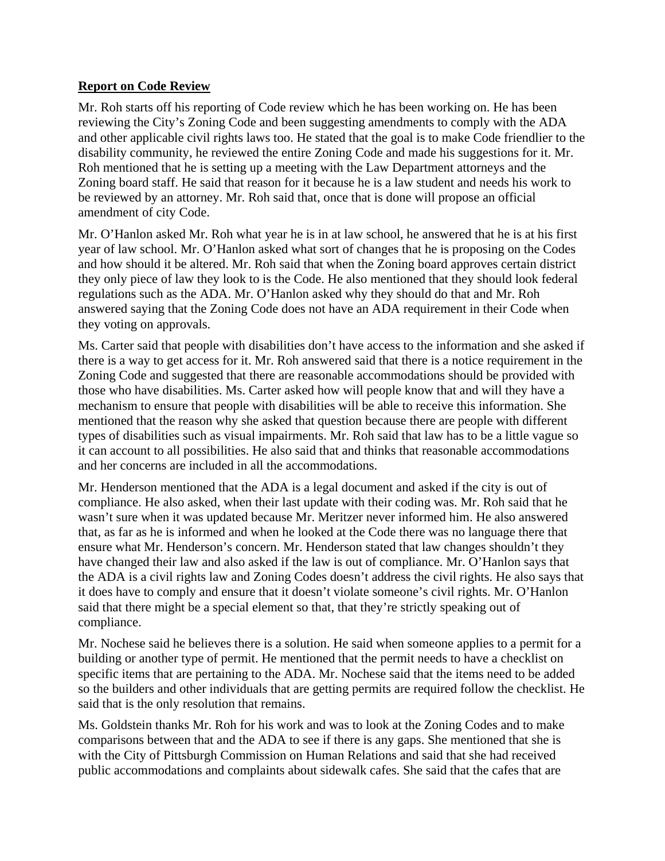#### **Report on Code Review**

Mr. Roh starts off his reporting of Code review which he has been working on. He has been reviewing the City's Zoning Code and been suggesting amendments to comply with the ADA and other applicable civil rights laws too. He stated that the goal is to make Code friendlier to the disability community, he reviewed the entire Zoning Code and made his suggestions for it. Mr. Roh mentioned that he is setting up a meeting with the Law Department attorneys and the Zoning board staff. He said that reason for it because he is a law student and needs his work to be reviewed by an attorney. Mr. Roh said that, once that is done will propose an official amendment of city Code.

Mr. O'Hanlon asked Mr. Roh what year he is in at law school, he answered that he is at his first year of law school. Mr. O'Hanlon asked what sort of changes that he is proposing on the Codes and how should it be altered. Mr. Roh said that when the Zoning board approves certain district they only piece of law they look to is the Code. He also mentioned that they should look federal regulations such as the ADA. Mr. O'Hanlon asked why they should do that and Mr. Roh answered saying that the Zoning Code does not have an ADA requirement in their Code when they voting on approvals.

Ms. Carter said that people with disabilities don't have access to the information and she asked if there is a way to get access for it. Mr. Roh answered said that there is a notice requirement in the Zoning Code and suggested that there are reasonable accommodations should be provided with those who have disabilities. Ms. Carter asked how will people know that and will they have a mechanism to ensure that people with disabilities will be able to receive this information. She mentioned that the reason why she asked that question because there are people with different types of disabilities such as visual impairments. Mr. Roh said that law has to be a little vague so it can account to all possibilities. He also said that and thinks that reasonable accommodations and her concerns are included in all the accommodations.

Mr. Henderson mentioned that the ADA is a legal document and asked if the city is out of compliance. He also asked, when their last update with their coding was. Mr. Roh said that he wasn't sure when it was updated because Mr. Meritzer never informed him. He also answered that, as far as he is informed and when he looked at the Code there was no language there that ensure what Mr. Henderson's concern. Mr. Henderson stated that law changes shouldn't they have changed their law and also asked if the law is out of compliance. Mr. O'Hanlon says that the ADA is a civil rights law and Zoning Codes doesn't address the civil rights. He also says that it does have to comply and ensure that it doesn't violate someone's civil rights. Mr. O'Hanlon said that there might be a special element so that, that they're strictly speaking out of compliance.

Mr. Nochese said he believes there is a solution. He said when someone applies to a permit for a building or another type of permit. He mentioned that the permit needs to have a checklist on specific items that are pertaining to the ADA. Mr. Nochese said that the items need to be added so the builders and other individuals that are getting permits are required follow the checklist. He said that is the only resolution that remains.

Ms. Goldstein thanks Mr. Roh for his work and was to look at the Zoning Codes and to make comparisons between that and the ADA to see if there is any gaps. She mentioned that she is with the City of Pittsburgh Commission on Human Relations and said that she had received public accommodations and complaints about sidewalk cafes. She said that the cafes that are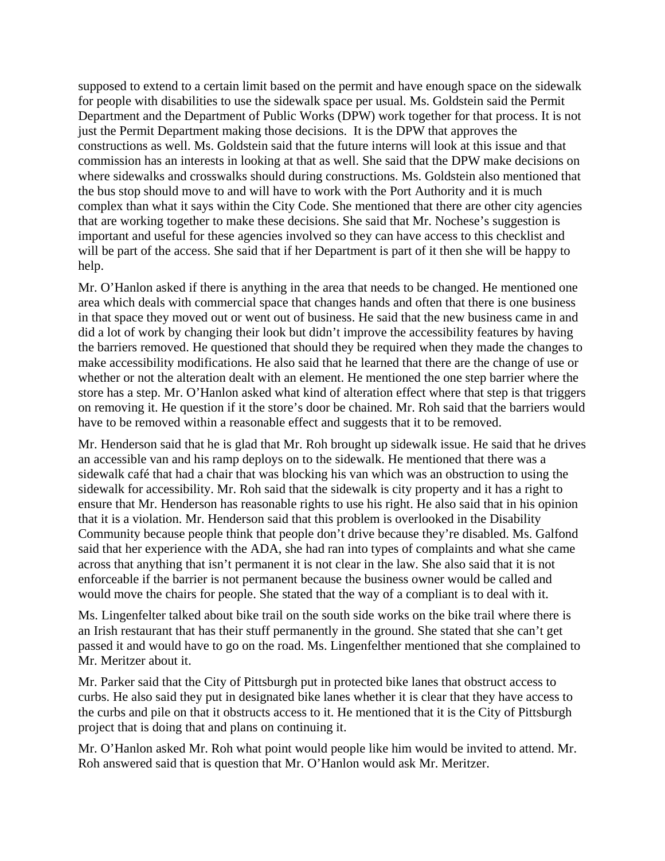supposed to extend to a certain limit based on the permit and have enough space on the sidewalk for people with disabilities to use the sidewalk space per usual. Ms. Goldstein said the Permit Department and the Department of Public Works (DPW) work together for that process. It is not just the Permit Department making those decisions. It is the DPW that approves the constructions as well. Ms. Goldstein said that the future interns will look at this issue and that commission has an interests in looking at that as well. She said that the DPW make decisions on where sidewalks and crosswalks should during constructions. Ms. Goldstein also mentioned that the bus stop should move to and will have to work with the Port Authority and it is much complex than what it says within the City Code. She mentioned that there are other city agencies that are working together to make these decisions. She said that Mr. Nochese's suggestion is important and useful for these agencies involved so they can have access to this checklist and will be part of the access. She said that if her Department is part of it then she will be happy to help.

Mr. O'Hanlon asked if there is anything in the area that needs to be changed. He mentioned one area which deals with commercial space that changes hands and often that there is one business in that space they moved out or went out of business. He said that the new business came in and did a lot of work by changing their look but didn't improve the accessibility features by having the barriers removed. He questioned that should they be required when they made the changes to make accessibility modifications. He also said that he learned that there are the change of use or whether or not the alteration dealt with an element. He mentioned the one step barrier where the store has a step. Mr. O'Hanlon asked what kind of alteration effect where that step is that triggers on removing it. He question if it the store's door be chained. Mr. Roh said that the barriers would have to be removed within a reasonable effect and suggests that it to be removed.

Mr. Henderson said that he is glad that Mr. Roh brought up sidewalk issue. He said that he drives an accessible van and his ramp deploys on to the sidewalk. He mentioned that there was a sidewalk café that had a chair that was blocking his van which was an obstruction to using the sidewalk for accessibility. Mr. Roh said that the sidewalk is city property and it has a right to ensure that Mr. Henderson has reasonable rights to use his right. He also said that in his opinion that it is a violation. Mr. Henderson said that this problem is overlooked in the Disability Community because people think that people don't drive because they're disabled. Ms. Galfond said that her experience with the ADA, she had ran into types of complaints and what she came across that anything that isn't permanent it is not clear in the law. She also said that it is not enforceable if the barrier is not permanent because the business owner would be called and would move the chairs for people. She stated that the way of a compliant is to deal with it.

Ms. Lingenfelter talked about bike trail on the south side works on the bike trail where there is an Irish restaurant that has their stuff permanently in the ground. She stated that she can't get passed it and would have to go on the road. Ms. Lingenfelther mentioned that she complained to Mr. Meritzer about it.

Mr. Parker said that the City of Pittsburgh put in protected bike lanes that obstruct access to curbs. He also said they put in designated bike lanes whether it is clear that they have access to the curbs and pile on that it obstructs access to it. He mentioned that it is the City of Pittsburgh project that is doing that and plans on continuing it.

Mr. O'Hanlon asked Mr. Roh what point would people like him would be invited to attend. Mr. Roh answered said that is question that Mr. O'Hanlon would ask Mr. Meritzer.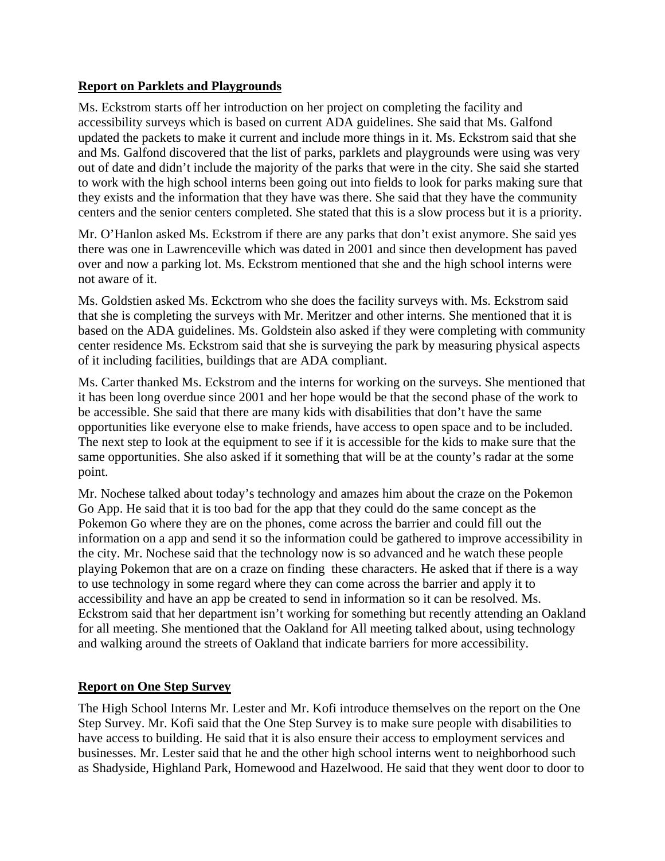# **Report on Parklets and Playgrounds**

Ms. Eckstrom starts off her introduction on her project on completing the facility and accessibility surveys which is based on current ADA guidelines. She said that Ms. Galfond updated the packets to make it current and include more things in it. Ms. Eckstrom said that she and Ms. Galfond discovered that the list of parks, parklets and playgrounds were using was very out of date and didn't include the majority of the parks that were in the city. She said she started to work with the high school interns been going out into fields to look for parks making sure that they exists and the information that they have was there. She said that they have the community centers and the senior centers completed. She stated that this is a slow process but it is a priority.

Mr. O'Hanlon asked Ms. Eckstrom if there are any parks that don't exist anymore. She said yes there was one in Lawrenceville which was dated in 2001 and since then development has paved over and now a parking lot. Ms. Eckstrom mentioned that she and the high school interns were not aware of it.

Ms. Goldstien asked Ms. Eckctrom who she does the facility surveys with. Ms. Eckstrom said that she is completing the surveys with Mr. Meritzer and other interns. She mentioned that it is based on the ADA guidelines. Ms. Goldstein also asked if they were completing with community center residence Ms. Eckstrom said that she is surveying the park by measuring physical aspects of it including facilities, buildings that are ADA compliant.

Ms. Carter thanked Ms. Eckstrom and the interns for working on the surveys. She mentioned that it has been long overdue since 2001 and her hope would be that the second phase of the work to be accessible. She said that there are many kids with disabilities that don't have the same opportunities like everyone else to make friends, have access to open space and to be included. The next step to look at the equipment to see if it is accessible for the kids to make sure that the same opportunities. She also asked if it something that will be at the county's radar at the some point.

Mr. Nochese talked about today's technology and amazes him about the craze on the Pokemon Go App. He said that it is too bad for the app that they could do the same concept as the Pokemon Go where they are on the phones, come across the barrier and could fill out the information on a app and send it so the information could be gathered to improve accessibility in the city. Mr. Nochese said that the technology now is so advanced and he watch these people playing Pokemon that are on a craze on finding these characters. He asked that if there is a way to use technology in some regard where they can come across the barrier and apply it to accessibility and have an app be created to send in information so it can be resolved. Ms. Eckstrom said that her department isn't working for something but recently attending an Oakland for all meeting. She mentioned that the Oakland for All meeting talked about, using technology and walking around the streets of Oakland that indicate barriers for more accessibility.

# **Report on One Step Survey**

The High School Interns Mr. Lester and Mr. Kofi introduce themselves on the report on the One Step Survey. Mr. Kofi said that the One Step Survey is to make sure people with disabilities to have access to building. He said that it is also ensure their access to employment services and businesses. Mr. Lester said that he and the other high school interns went to neighborhood such as Shadyside, Highland Park, Homewood and Hazelwood. He said that they went door to door to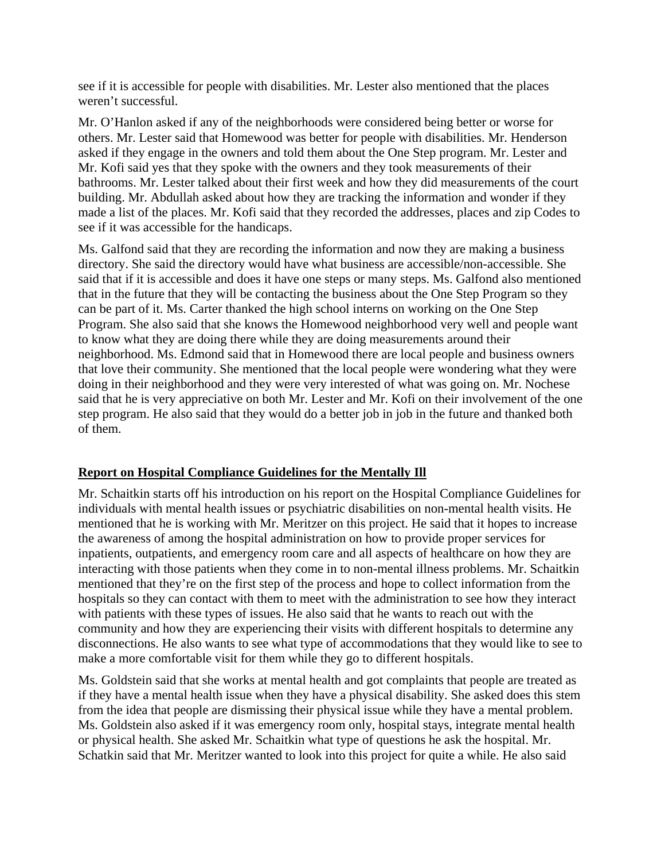see if it is accessible for people with disabilities. Mr. Lester also mentioned that the places weren't successful.

Mr. O'Hanlon asked if any of the neighborhoods were considered being better or worse for others. Mr. Lester said that Homewood was better for people with disabilities. Mr. Henderson asked if they engage in the owners and told them about the One Step program. Mr. Lester and Mr. Kofi said yes that they spoke with the owners and they took measurements of their bathrooms. Mr. Lester talked about their first week and how they did measurements of the court building. Mr. Abdullah asked about how they are tracking the information and wonder if they made a list of the places. Mr. Kofi said that they recorded the addresses, places and zip Codes to see if it was accessible for the handicaps.

Ms. Galfond said that they are recording the information and now they are making a business directory. She said the directory would have what business are accessible/non-accessible. She said that if it is accessible and does it have one steps or many steps. Ms. Galfond also mentioned that in the future that they will be contacting the business about the One Step Program so they can be part of it. Ms. Carter thanked the high school interns on working on the One Step Program. She also said that she knows the Homewood neighborhood very well and people want to know what they are doing there while they are doing measurements around their neighborhood. Ms. Edmond said that in Homewood there are local people and business owners that love their community. She mentioned that the local people were wondering what they were doing in their neighborhood and they were very interested of what was going on. Mr. Nochese said that he is very appreciative on both Mr. Lester and Mr. Kofi on their involvement of the one step program. He also said that they would do a better job in job in the future and thanked both of them.

# **Report on Hospital Compliance Guidelines for the Mentally Ill**

Mr. Schaitkin starts off his introduction on his report on the Hospital Compliance Guidelines for individuals with mental health issues or psychiatric disabilities on non-mental health visits. He mentioned that he is working with Mr. Meritzer on this project. He said that it hopes to increase the awareness of among the hospital administration on how to provide proper services for inpatients, outpatients, and emergency room care and all aspects of healthcare on how they are interacting with those patients when they come in to non-mental illness problems. Mr. Schaitkin mentioned that they're on the first step of the process and hope to collect information from the hospitals so they can contact with them to meet with the administration to see how they interact with patients with these types of issues. He also said that he wants to reach out with the community and how they are experiencing their visits with different hospitals to determine any disconnections. He also wants to see what type of accommodations that they would like to see to make a more comfortable visit for them while they go to different hospitals.

Ms. Goldstein said that she works at mental health and got complaints that people are treated as if they have a mental health issue when they have a physical disability. She asked does this stem from the idea that people are dismissing their physical issue while they have a mental problem. Ms. Goldstein also asked if it was emergency room only, hospital stays, integrate mental health or physical health. She asked Mr. Schaitkin what type of questions he ask the hospital. Mr. Schatkin said that Mr. Meritzer wanted to look into this project for quite a while. He also said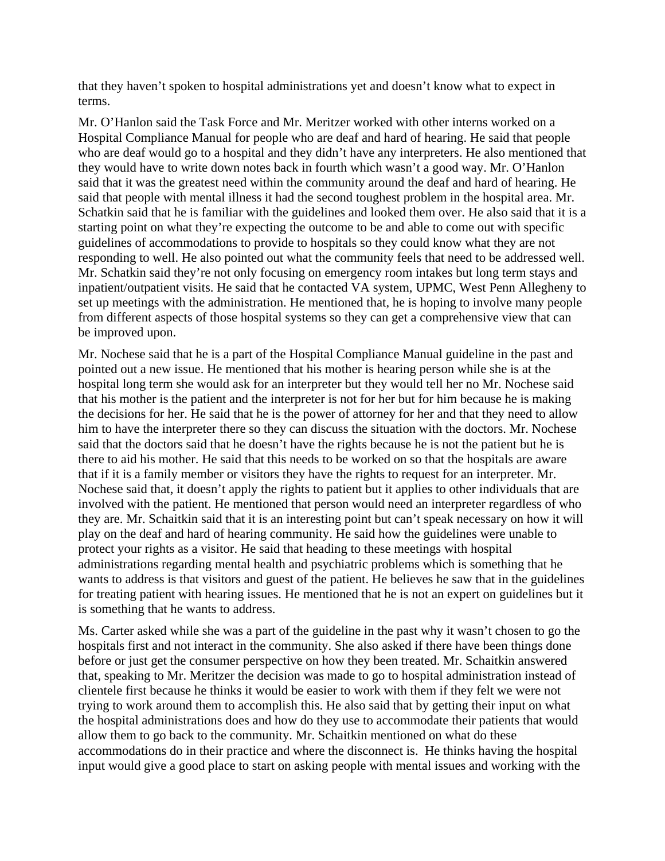that they haven't spoken to hospital administrations yet and doesn't know what to expect in terms.

Mr. O'Hanlon said the Task Force and Mr. Meritzer worked with other interns worked on a Hospital Compliance Manual for people who are deaf and hard of hearing. He said that people who are deaf would go to a hospital and they didn't have any interpreters. He also mentioned that they would have to write down notes back in fourth which wasn't a good way. Mr. O'Hanlon said that it was the greatest need within the community around the deaf and hard of hearing. He said that people with mental illness it had the second toughest problem in the hospital area. Mr. Schatkin said that he is familiar with the guidelines and looked them over. He also said that it is a starting point on what they're expecting the outcome to be and able to come out with specific guidelines of accommodations to provide to hospitals so they could know what they are not responding to well. He also pointed out what the community feels that need to be addressed well. Mr. Schatkin said they're not only focusing on emergency room intakes but long term stays and inpatient/outpatient visits. He said that he contacted VA system, UPMC, West Penn Allegheny to set up meetings with the administration. He mentioned that, he is hoping to involve many people from different aspects of those hospital systems so they can get a comprehensive view that can be improved upon.

Mr. Nochese said that he is a part of the Hospital Compliance Manual guideline in the past and pointed out a new issue. He mentioned that his mother is hearing person while she is at the hospital long term she would ask for an interpreter but they would tell her no Mr. Nochese said that his mother is the patient and the interpreter is not for her but for him because he is making the decisions for her. He said that he is the power of attorney for her and that they need to allow him to have the interpreter there so they can discuss the situation with the doctors. Mr. Nochese said that the doctors said that he doesn't have the rights because he is not the patient but he is there to aid his mother. He said that this needs to be worked on so that the hospitals are aware that if it is a family member or visitors they have the rights to request for an interpreter. Mr. Nochese said that, it doesn't apply the rights to patient but it applies to other individuals that are involved with the patient. He mentioned that person would need an interpreter regardless of who they are. Mr. Schaitkin said that it is an interesting point but can't speak necessary on how it will play on the deaf and hard of hearing community. He said how the guidelines were unable to protect your rights as a visitor. He said that heading to these meetings with hospital administrations regarding mental health and psychiatric problems which is something that he wants to address is that visitors and guest of the patient. He believes he saw that in the guidelines for treating patient with hearing issues. He mentioned that he is not an expert on guidelines but it is something that he wants to address.

Ms. Carter asked while she was a part of the guideline in the past why it wasn't chosen to go the hospitals first and not interact in the community. She also asked if there have been things done before or just get the consumer perspective on how they been treated. Mr. Schaitkin answered that, speaking to Mr. Meritzer the decision was made to go to hospital administration instead of clientele first because he thinks it would be easier to work with them if they felt we were not trying to work around them to accomplish this. He also said that by getting their input on what the hospital administrations does and how do they use to accommodate their patients that would allow them to go back to the community. Mr. Schaitkin mentioned on what do these accommodations do in their practice and where the disconnect is. He thinks having the hospital input would give a good place to start on asking people with mental issues and working with the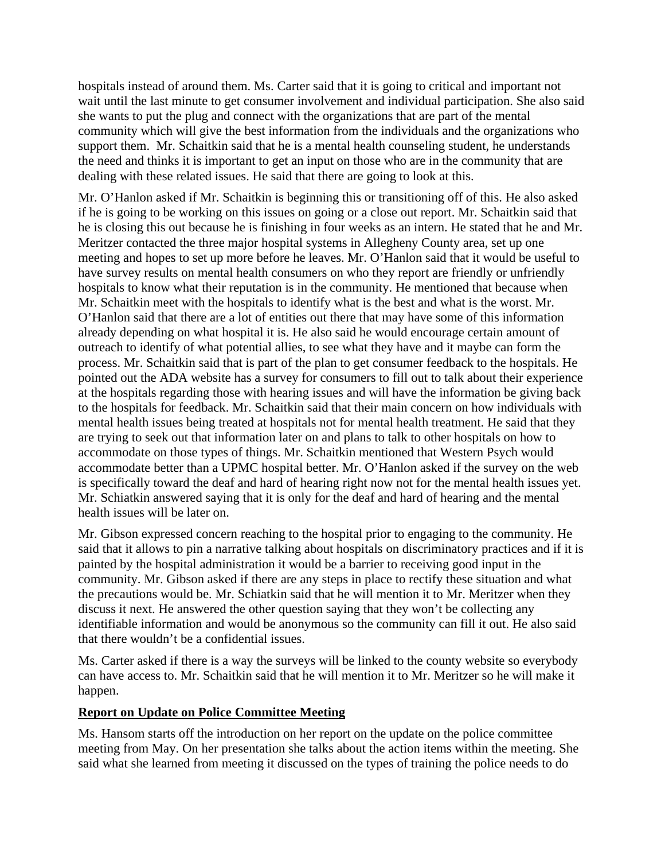hospitals instead of around them. Ms. Carter said that it is going to critical and important not wait until the last minute to get consumer involvement and individual participation. She also said she wants to put the plug and connect with the organizations that are part of the mental community which will give the best information from the individuals and the organizations who support them. Mr. Schaitkin said that he is a mental health counseling student, he understands the need and thinks it is important to get an input on those who are in the community that are dealing with these related issues. He said that there are going to look at this.

Mr. O'Hanlon asked if Mr. Schaitkin is beginning this or transitioning off of this. He also asked if he is going to be working on this issues on going or a close out report. Mr. Schaitkin said that he is closing this out because he is finishing in four weeks as an intern. He stated that he and Mr. Meritzer contacted the three major hospital systems in Allegheny County area, set up one meeting and hopes to set up more before he leaves. Mr. O'Hanlon said that it would be useful to have survey results on mental health consumers on who they report are friendly or unfriendly hospitals to know what their reputation is in the community. He mentioned that because when Mr. Schaitkin meet with the hospitals to identify what is the best and what is the worst. Mr. O'Hanlon said that there are a lot of entities out there that may have some of this information already depending on what hospital it is. He also said he would encourage certain amount of outreach to identify of what potential allies, to see what they have and it maybe can form the process. Mr. Schaitkin said that is part of the plan to get consumer feedback to the hospitals. He pointed out the ADA website has a survey for consumers to fill out to talk about their experience at the hospitals regarding those with hearing issues and will have the information be giving back to the hospitals for feedback. Mr. Schaitkin said that their main concern on how individuals with mental health issues being treated at hospitals not for mental health treatment. He said that they are trying to seek out that information later on and plans to talk to other hospitals on how to accommodate on those types of things. Mr. Schaitkin mentioned that Western Psych would accommodate better than a UPMC hospital better. Mr. O'Hanlon asked if the survey on the web is specifically toward the deaf and hard of hearing right now not for the mental health issues yet. Mr. Schiatkin answered saying that it is only for the deaf and hard of hearing and the mental health issues will be later on.

Mr. Gibson expressed concern reaching to the hospital prior to engaging to the community. He said that it allows to pin a narrative talking about hospitals on discriminatory practices and if it is painted by the hospital administration it would be a barrier to receiving good input in the community. Mr. Gibson asked if there are any steps in place to rectify these situation and what the precautions would be. Mr. Schiatkin said that he will mention it to Mr. Meritzer when they discuss it next. He answered the other question saying that they won't be collecting any identifiable information and would be anonymous so the community can fill it out. He also said that there wouldn't be a confidential issues.

Ms. Carter asked if there is a way the surveys will be linked to the county website so everybody can have access to. Mr. Schaitkin said that he will mention it to Mr. Meritzer so he will make it happen.

# **Report on Update on Police Committee Meeting**

Ms. Hansom starts off the introduction on her report on the update on the police committee meeting from May. On her presentation she talks about the action items within the meeting. She said what she learned from meeting it discussed on the types of training the police needs to do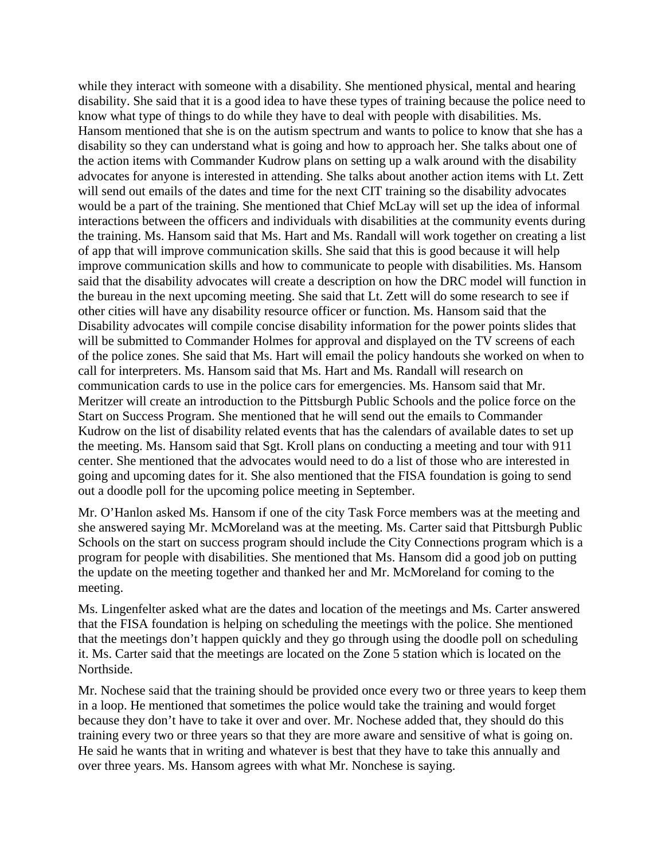while they interact with someone with a disability. She mentioned physical, mental and hearing disability. She said that it is a good idea to have these types of training because the police need to know what type of things to do while they have to deal with people with disabilities. Ms. Hansom mentioned that she is on the autism spectrum and wants to police to know that she has a disability so they can understand what is going and how to approach her. She talks about one of the action items with Commander Kudrow plans on setting up a walk around with the disability advocates for anyone is interested in attending. She talks about another action items with Lt. Zett will send out emails of the dates and time for the next CIT training so the disability advocates would be a part of the training. She mentioned that Chief McLay will set up the idea of informal interactions between the officers and individuals with disabilities at the community events during the training. Ms. Hansom said that Ms. Hart and Ms. Randall will work together on creating a list of app that will improve communication skills. She said that this is good because it will help improve communication skills and how to communicate to people with disabilities. Ms. Hansom said that the disability advocates will create a description on how the DRC model will function in the bureau in the next upcoming meeting. She said that Lt. Zett will do some research to see if other cities will have any disability resource officer or function. Ms. Hansom said that the Disability advocates will compile concise disability information for the power points slides that will be submitted to Commander Holmes for approval and displayed on the TV screens of each of the police zones. She said that Ms. Hart will email the policy handouts she worked on when to call for interpreters. Ms. Hansom said that Ms. Hart and Ms. Randall will research on communication cards to use in the police cars for emergencies. Ms. Hansom said that Mr. Meritzer will create an introduction to the Pittsburgh Public Schools and the police force on the Start on Success Program. She mentioned that he will send out the emails to Commander Kudrow on the list of disability related events that has the calendars of available dates to set up the meeting. Ms. Hansom said that Sgt. Kroll plans on conducting a meeting and tour with 911 center. She mentioned that the advocates would need to do a list of those who are interested in going and upcoming dates for it. She also mentioned that the FISA foundation is going to send out a doodle poll for the upcoming police meeting in September.

Mr. O'Hanlon asked Ms. Hansom if one of the city Task Force members was at the meeting and she answered saying Mr. McMoreland was at the meeting. Ms. Carter said that Pittsburgh Public Schools on the start on success program should include the City Connections program which is a program for people with disabilities. She mentioned that Ms. Hansom did a good job on putting the update on the meeting together and thanked her and Mr. McMoreland for coming to the meeting.

Ms. Lingenfelter asked what are the dates and location of the meetings and Ms. Carter answered that the FISA foundation is helping on scheduling the meetings with the police. She mentioned that the meetings don't happen quickly and they go through using the doodle poll on scheduling it. Ms. Carter said that the meetings are located on the Zone 5 station which is located on the Northside.

Mr. Nochese said that the training should be provided once every two or three years to keep them in a loop. He mentioned that sometimes the police would take the training and would forget because they don't have to take it over and over. Mr. Nochese added that, they should do this training every two or three years so that they are more aware and sensitive of what is going on. He said he wants that in writing and whatever is best that they have to take this annually and over three years. Ms. Hansom agrees with what Mr. Nonchese is saying.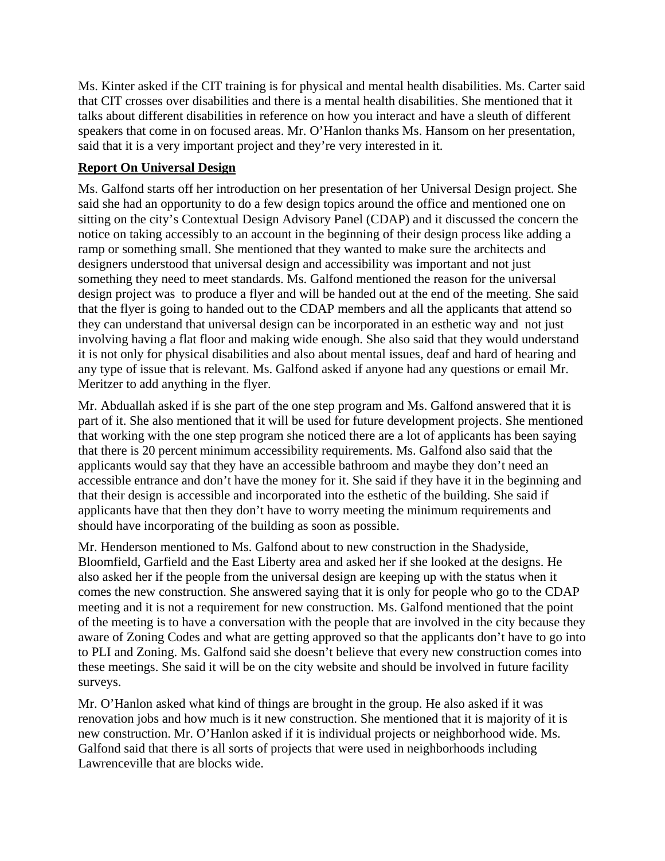Ms. Kinter asked if the CIT training is for physical and mental health disabilities. Ms. Carter said that CIT crosses over disabilities and there is a mental health disabilities. She mentioned that it talks about different disabilities in reference on how you interact and have a sleuth of different speakers that come in on focused areas. Mr. O'Hanlon thanks Ms. Hansom on her presentation, said that it is a very important project and they're very interested in it.

# **Report On Universal Design**

Ms. Galfond starts off her introduction on her presentation of her Universal Design project. She said she had an opportunity to do a few design topics around the office and mentioned one on sitting on the city's Contextual Design Advisory Panel (CDAP) and it discussed the concern the notice on taking accessibly to an account in the beginning of their design process like adding a ramp or something small. She mentioned that they wanted to make sure the architects and designers understood that universal design and accessibility was important and not just something they need to meet standards. Ms. Galfond mentioned the reason for the universal design project was to produce a flyer and will be handed out at the end of the meeting. She said that the flyer is going to handed out to the CDAP members and all the applicants that attend so they can understand that universal design can be incorporated in an esthetic way and not just involving having a flat floor and making wide enough. She also said that they would understand it is not only for physical disabilities and also about mental issues, deaf and hard of hearing and any type of issue that is relevant. Ms. Galfond asked if anyone had any questions or email Mr. Meritzer to add anything in the flyer.

Mr. Abduallah asked if is she part of the one step program and Ms. Galfond answered that it is part of it. She also mentioned that it will be used for future development projects. She mentioned that working with the one step program she noticed there are a lot of applicants has been saying that there is 20 percent minimum accessibility requirements. Ms. Galfond also said that the applicants would say that they have an accessible bathroom and maybe they don't need an accessible entrance and don't have the money for it. She said if they have it in the beginning and that their design is accessible and incorporated into the esthetic of the building. She said if applicants have that then they don't have to worry meeting the minimum requirements and should have incorporating of the building as soon as possible.

Mr. Henderson mentioned to Ms. Galfond about to new construction in the Shadyside, Bloomfield, Garfield and the East Liberty area and asked her if she looked at the designs. He also asked her if the people from the universal design are keeping up with the status when it comes the new construction. She answered saying that it is only for people who go to the CDAP meeting and it is not a requirement for new construction. Ms. Galfond mentioned that the point of the meeting is to have a conversation with the people that are involved in the city because they aware of Zoning Codes and what are getting approved so that the applicants don't have to go into to PLI and Zoning. Ms. Galfond said she doesn't believe that every new construction comes into these meetings. She said it will be on the city website and should be involved in future facility surveys.

Mr. O'Hanlon asked what kind of things are brought in the group. He also asked if it was renovation jobs and how much is it new construction. She mentioned that it is majority of it is new construction. Mr. O'Hanlon asked if it is individual projects or neighborhood wide. Ms. Galfond said that there is all sorts of projects that were used in neighborhoods including Lawrenceville that are blocks wide.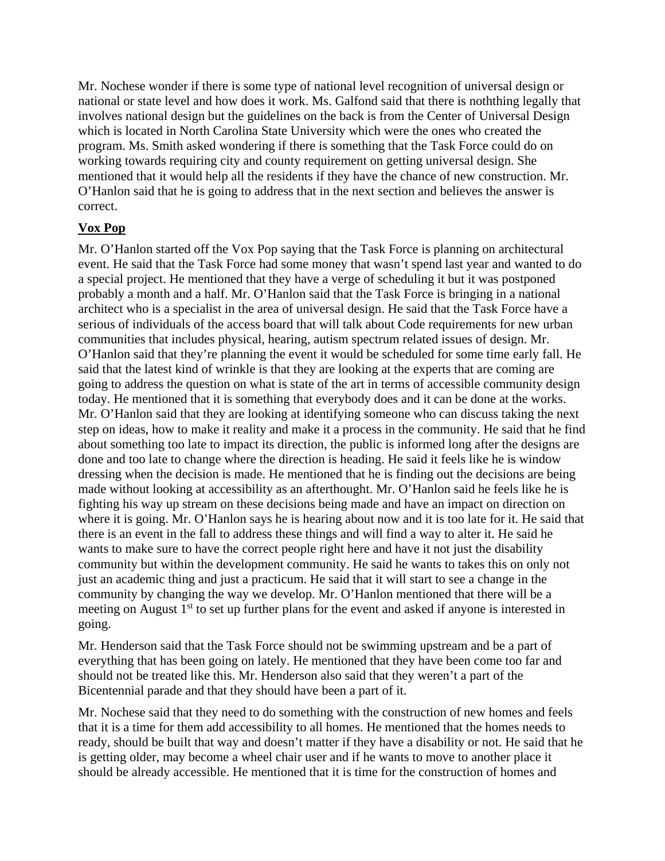Mr. Nochese wonder if there is some type of national level recognition of universal design or national or state level and how does it work. Ms. Galfond said that there is noththing legally that involves national design but the guidelines on the back is from the Center of Universal Design which is located in North Carolina State University which were the ones who created the program. Ms. Smith asked wondering if there is something that the Task Force could do on working towards requiring city and county requirement on getting universal design. She mentioned that it would help all the residents if they have the chance of new construction. Mr. O'Hanlon said that he is going to address that in the next section and believes the answer is correct.

# **Vox Pop**

Mr. O'Hanlon started off the Vox Pop saying that the Task Force is planning on architectural event. He said that the Task Force had some money that wasn't spend last year and wanted to do a special project. He mentioned that they have a verge of scheduling it but it was postponed probably a month and a half. Mr. O'Hanlon said that the Task Force is bringing in a national architect who is a specialist in the area of universal design. He said that the Task Force have a serious of individuals of the access board that will talk about Code requirements for new urban communities that includes physical, hearing, autism spectrum related issues of design. Mr. O'Hanlon said that they're planning the event it would be scheduled for some time early fall. He said that the latest kind of wrinkle is that they are looking at the experts that are coming are going to address the question on what is state of the art in terms of accessible community design today. He mentioned that it is something that everybody does and it can be done at the works. Mr. O'Hanlon said that they are looking at identifying someone who can discuss taking the next step on ideas, how to make it reality and make it a process in the community. He said that he find about something too late to impact its direction, the public is informed long after the designs are done and too late to change where the direction is heading. He said it feels like he is window dressing when the decision is made. He mentioned that he is finding out the decisions are being made without looking at accessibility as an afterthought. Mr. O'Hanlon said he feels like he is fighting his way up stream on these decisions being made and have an impact on direction on where it is going. Mr. O'Hanlon says he is hearing about now and it is too late for it. He said that there is an event in the fall to address these things and will find a way to alter it. He said he wants to make sure to have the correct people right here and have it not just the disability community but within the development community. He said he wants to takes this on only not just an academic thing and just a practicum. He said that it will start to see a change in the community by changing the way we develop. Mr. O'Hanlon mentioned that there will be a meeting on August  $1<sup>st</sup>$  to set up further plans for the event and asked if anyone is interested in going.

Mr. Henderson said that the Task Force should not be swimming upstream and be a part of everything that has been going on lately. He mentioned that they have been come too far and should not be treated like this. Mr. Henderson also said that they weren't a part of the Bicentennial parade and that they should have been a part of it.

Mr. Nochese said that they need to do something with the construction of new homes and feels that it is a time for them add accessibility to all homes. He mentioned that the homes needs to ready, should be built that way and doesn't matter if they have a disability or not. He said that he is getting older, may become a wheel chair user and if he wants to move to another place it should be already accessible. He mentioned that it is time for the construction of homes and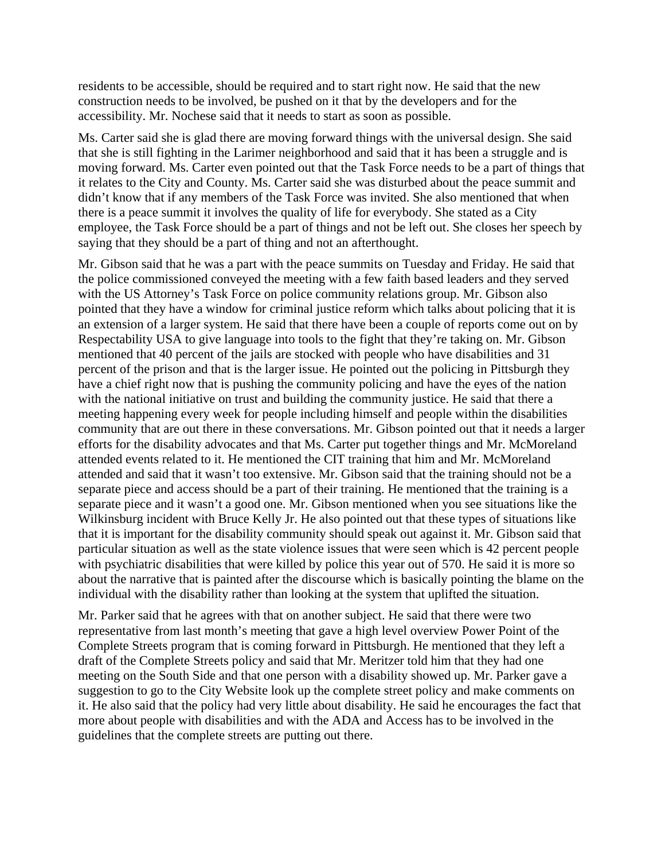residents to be accessible, should be required and to start right now. He said that the new construction needs to be involved, be pushed on it that by the developers and for the accessibility. Mr. Nochese said that it needs to start as soon as possible.

Ms. Carter said she is glad there are moving forward things with the universal design. She said that she is still fighting in the Larimer neighborhood and said that it has been a struggle and is moving forward. Ms. Carter even pointed out that the Task Force needs to be a part of things that it relates to the City and County. Ms. Carter said she was disturbed about the peace summit and didn't know that if any members of the Task Force was invited. She also mentioned that when there is a peace summit it involves the quality of life for everybody. She stated as a City employee, the Task Force should be a part of things and not be left out. She closes her speech by saying that they should be a part of thing and not an afterthought.

Mr. Gibson said that he was a part with the peace summits on Tuesday and Friday. He said that the police commissioned conveyed the meeting with a few faith based leaders and they served with the US Attorney's Task Force on police community relations group. Mr. Gibson also pointed that they have a window for criminal justice reform which talks about policing that it is an extension of a larger system. He said that there have been a couple of reports come out on by Respectability USA to give language into tools to the fight that they're taking on. Mr. Gibson mentioned that 40 percent of the jails are stocked with people who have disabilities and 31 percent of the prison and that is the larger issue. He pointed out the policing in Pittsburgh they have a chief right now that is pushing the community policing and have the eyes of the nation with the national initiative on trust and building the community justice. He said that there a meeting happening every week for people including himself and people within the disabilities community that are out there in these conversations. Mr. Gibson pointed out that it needs a larger efforts for the disability advocates and that Ms. Carter put together things and Mr. McMoreland attended events related to it. He mentioned the CIT training that him and Mr. McMoreland attended and said that it wasn't too extensive. Mr. Gibson said that the training should not be a separate piece and access should be a part of their training. He mentioned that the training is a separate piece and it wasn't a good one. Mr. Gibson mentioned when you see situations like the Wilkinsburg incident with Bruce Kelly Jr. He also pointed out that these types of situations like that it is important for the disability community should speak out against it. Mr. Gibson said that particular situation as well as the state violence issues that were seen which is 42 percent people with psychiatric disabilities that were killed by police this year out of 570. He said it is more so about the narrative that is painted after the discourse which is basically pointing the blame on the individual with the disability rather than looking at the system that uplifted the situation.

Mr. Parker said that he agrees with that on another subject. He said that there were two representative from last month's meeting that gave a high level overview Power Point of the Complete Streets program that is coming forward in Pittsburgh. He mentioned that they left a draft of the Complete Streets policy and said that Mr. Meritzer told him that they had one meeting on the South Side and that one person with a disability showed up. Mr. Parker gave a suggestion to go to the City Website look up the complete street policy and make comments on it. He also said that the policy had very little about disability. He said he encourages the fact that more about people with disabilities and with the ADA and Access has to be involved in the guidelines that the complete streets are putting out there.